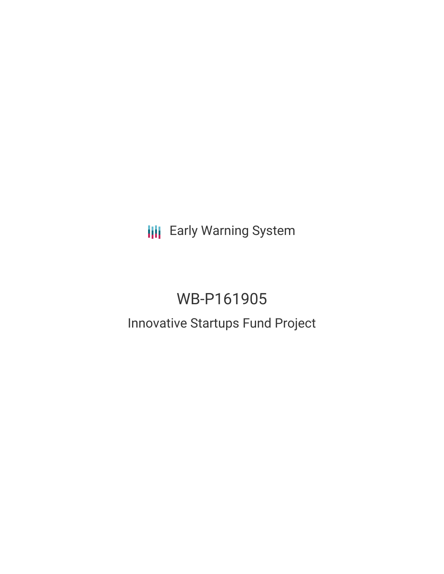**III** Early Warning System

# WB-P161905 Innovative Startups Fund Project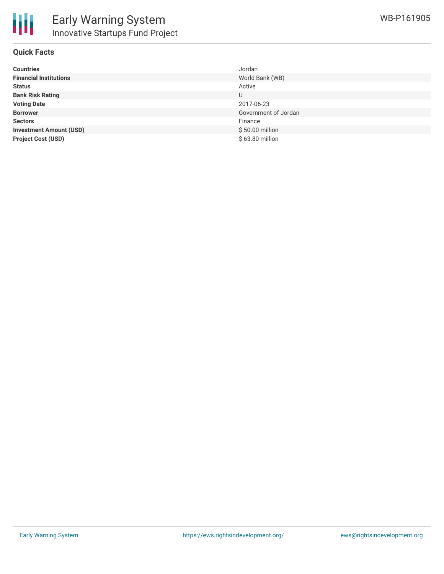

### **Quick Facts**

| <b>Countries</b>               | Jordan               |
|--------------------------------|----------------------|
| <b>Financial Institutions</b>  | World Bank (WB)      |
| <b>Status</b>                  | Active               |
| <b>Bank Risk Rating</b>        | U                    |
| <b>Voting Date</b>             | 2017-06-23           |
| <b>Borrower</b>                | Government of Jordan |
| <b>Sectors</b>                 | Finance              |
| <b>Investment Amount (USD)</b> | $$50.00$ million     |
| <b>Project Cost (USD)</b>      | \$63.80 million      |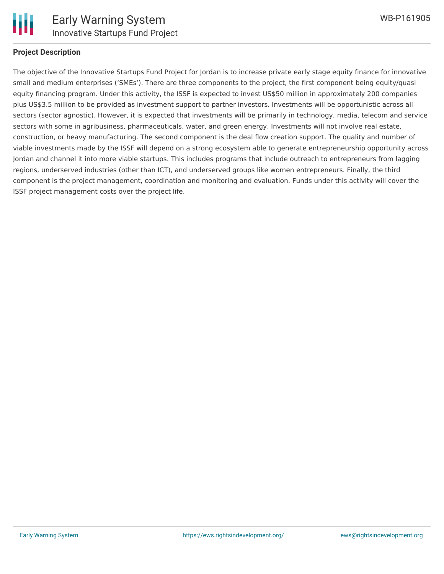

#### **Project Description**

The objective of the Innovative Startups Fund Project for Jordan is to increase private early stage equity finance for innovative small and medium enterprises ('SMEs'). There are three components to the project, the first component being equity/quasi equity financing program. Under this activity, the ISSF is expected to invest US\$50 million in approximately 200 companies plus US\$3.5 million to be provided as investment support to partner investors. Investments will be opportunistic across all sectors (sector agnostic). However, it is expected that investments will be primarily in technology, media, telecom and service sectors with some in agribusiness, pharmaceuticals, water, and green energy. Investments will not involve real estate, construction, or heavy manufacturing. The second component is the deal flow creation support. The quality and number of viable investments made by the ISSF will depend on a strong ecosystem able to generate entrepreneurship opportunity across Jordan and channel it into more viable startups. This includes programs that include outreach to entrepreneurs from lagging regions, underserved industries (other than ICT), and underserved groups like women entrepreneurs. Finally, the third component is the project management, coordination and monitoring and evaluation. Funds under this activity will cover the ISSF project management costs over the project life.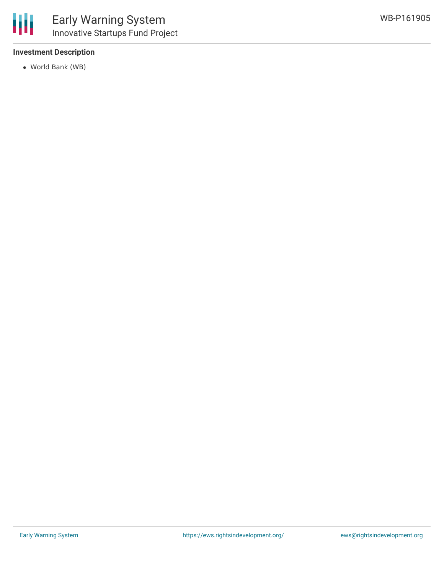# **Investment Description**

World Bank (WB)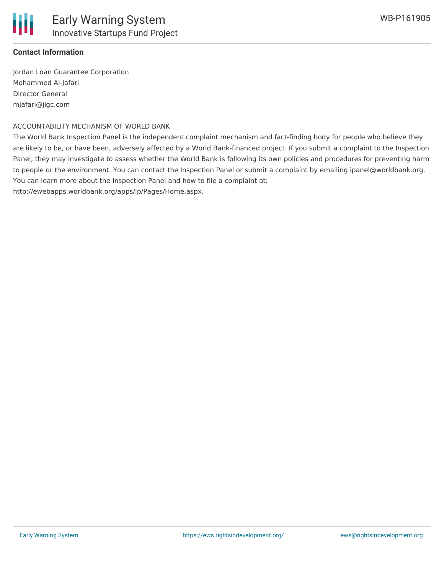

# **Contact Information**

Jordan Loan Guarantee Corporation Mohammed Al-Jafari Director General mjafari@jlgc.com

#### ACCOUNTABILITY MECHANISM OF WORLD BANK

The World Bank Inspection Panel is the independent complaint mechanism and fact-finding body for people who believe they are likely to be, or have been, adversely affected by a World Bank-financed project. If you submit a complaint to the Inspection Panel, they may investigate to assess whether the World Bank is following its own policies and procedures for preventing harm to people or the environment. You can contact the Inspection Panel or submit a complaint by emailing ipanel@worldbank.org. You can learn more about the Inspection Panel and how to file a complaint at:

http://ewebapps.worldbank.org/apps/ip/Pages/Home.aspx.